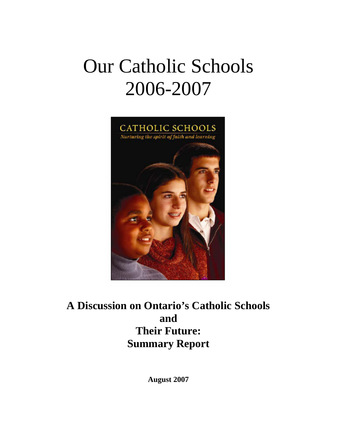# Our Catholic Schools 2006-2007



**A Discussion on Ontario's Catholic Schools and Their Future: Summary Report** 

**August 2007**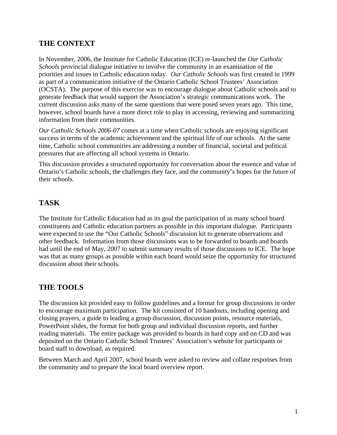### **THE CONTEXT**

In November, 2006, the Institute for Catholic Education (ICE) re-launched the *Our Catholic Schools* provincial dialogue initiative to involve the community in an examination of the priorities and issues in Catholic education today. *Our Catholic Schools* was first created in 1999 as part of a communication initiative of the Ontario Catholic School Trustees' Association (OCSTA). The purpose of this exercise was to encourage dialogue about Catholic schools and to generate feedback that would support the Association's strategic communications work. The current discussion asks many of the same questions that were posed seven years ago. This time, however, school boards have a more direct role to play in accessing, reviewing and summarizing information from their communities.

*Our Catholic Schools 2006-07* comes at a time when Catholic schools are enjoying significant success in terms of the academic achievement and the spiritual life of our schools. At the same time, Catholic school communities are addressing a number of financial, societal and political pressures that are affecting all school systems in Ontario.

This discussion provides a structured opportunity for conversation about the essence and value of Ontario's Catholic schools, the challenges they face, and the community's hopes for the future of their schools.

### **TASK**

The Institute for Catholic Education had as its goal the participation of as many school board constituents and Catholic education partners as possible in this important dialogue. Participants were expected to use the "Our Catholic Schools" discussion kit to generate observations and other feedback. Information from those discussions was to be forwarded to boards and boards had until the end of May, 2007 to submit summary results of those discussions to ICE. The hope was that as many groups as possible within each board would seize the opportunity for structured discussion about their schools.

### **THE TOOLS**

The discussion kit provided easy to follow guidelines and a format for group discussions in order to encourage maximum participation. The kit consisted of 10 handouts, including opening and closing prayers, a guide to leading a group discussion, discussion points, resource materials, PowerPoint slides, the format for both group and individual discussion reports, and further reading materials. The entire package was provided to boards in hard copy and on CD and was deposited on the Ontario Catholic School Trustees' Association's website for participants or board staff to download, as required.

Between March and April 2007, school boards were asked to review and collate responses from the community and to prepare the local board overview report.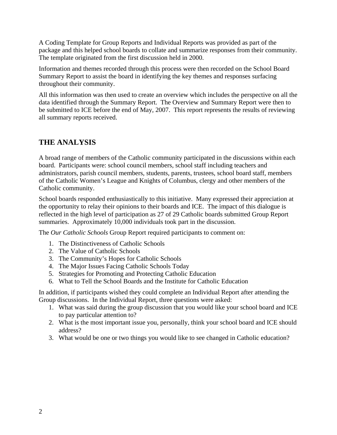A Coding Template for Group Reports and Individual Reports was provided as part of the package and this helped school boards to collate and summarize responses from their community. The template originated from the first discussion held in 2000.

Information and themes recorded through this process were then recorded on the School Board Summary Report to assist the board in identifying the key themes and responses surfacing throughout their community.

All this information was then used to create an overview which includes the perspective on all the data identified through the Summary Report. The Overview and Summary Report were then to be submitted to ICE before the end of May, 2007. This report represents the results of reviewing all summary reports received.

### **THE ANALYSIS**

A broad range of members of the Catholic community participated in the discussions within each board. Participants were: school council members, school staff including teachers and administrators, parish council members, students, parents, trustees, school board staff, members of the Catholic Women's League and Knights of Columbus, clergy and other members of the Catholic community.

School boards responded enthusiastically to this initiative. Many expressed their appreciation at the opportunity to relay their opinions to their boards and ICE. The impact of this dialogue is reflected in the high level of participation as 27 of 29 Catholic boards submitted Group Report summaries. Approximately 10,000 individuals took part in the discussion.

The *Our Catholic Schools* Group Report required participants to comment on:

- 1. The Distinctiveness of Catholic Schools
- 2. The Value of Catholic Schools
- 3. The Community's Hopes for Catholic Schools
- 4. The Major Issues Facing Catholic Schools Today
- 5. Strategies for Promoting and Protecting Catholic Education
- 6. What to Tell the School Boards and the Institute for Catholic Education

In addition, if participants wished they could complete an Individual Report after attending the Group discussions. In the Individual Report, three questions were asked:

- 1. What was said during the group discussion that you would like your school board and ICE to pay particular attention to?
- 2. What is the most important issue you, personally, think your school board and ICE should address?
- 3. What would be one or two things you would like to see changed in Catholic education?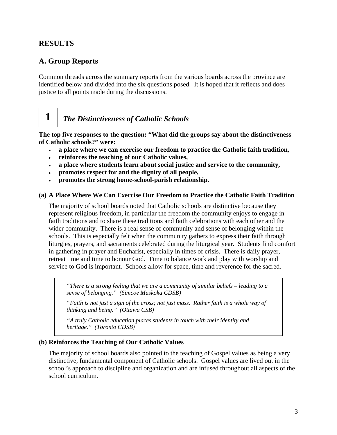### **RESULTS**

**1** 

### **A. Group Reports**

Common threads across the summary reports from the various boards across the province are identified below and divided into the six questions posed. It is hoped that it reflects and does justice to all points made during the discussions.

# *The Distinctiveness of Catholic Schools*

**The top five responses to the question: "What did the groups say about the distinctiveness of Catholic schools?" were:** 

- **a place where we can exercise our freedom to practice the Catholic faith tradition,**
- **reinforces the teaching of our Catholic values,**
- **a place where students learn about social justice and service to the community,**
- **promotes respect for and the dignity of all people,**
- **promotes the strong home-school-parish relationship.**

### **(a) A Place Where We Can Exercise Our Freedom to Practice the Catholic Faith Tradition**

The majority of school boards noted that Catholic schools are distinctive because they represent religious freedom, in particular the freedom the community enjoys to engage in faith traditions and to share these traditions and faith celebrations with each other and the wider community. There is a real sense of community and sense of belonging within the schools. This is especially felt when the community gathers to express their faith through liturgies, prayers, and sacraments celebrated during the liturgical year. Students find comfort in gathering in prayer and Eucharist, especially in times of crisis. There is daily prayer, retreat time and time to honour God. Time to balance work and play with worship and service to God is important. Schools allow for space, time and reverence for the sacred.

*"There is a strong feeling that we are a community of similar beliefs – leading to a sense of belonging." (Simcoe Muskoka CDSB)* 

*"Faith is not just a sign of the cross; not just mass. Rather faith is a whole way of thinking and being." (Ottawa CSB)* 

*"A truly Catholic education places students in touch with their identity and heritage." (Toronto CDSB)* 

### **(b) Reinforces the Teaching of Our Catholic Values**

The majority of school boards also pointed to the teaching of Gospel values as being a very distinctive, fundamental component of Catholic schools. Gospel values are lived out in the school's approach to discipline and organization and are infused throughout all aspects of the school curriculum.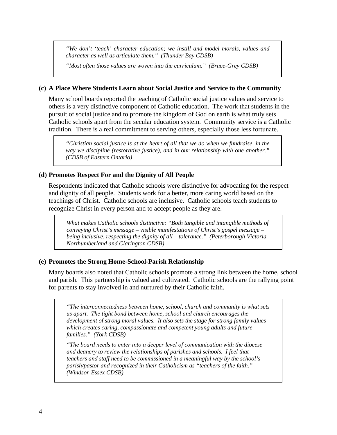*"We don't 'teach' character education; we instill and model morals, values and character as well as articulate them." (Thunder Bay CDSB)* 

*"Most often those values are woven into the curriculum." (Bruce-Grey CDSB)* 

### **(c) A Place Where Students Learn about Social Justice and Service to the Community**

Many school boards reported the teaching of Catholic social justice values and service to others is a very distinctive component of Catholic education. The work that students in the pursuit of social justice and to promote the kingdom of God on earth is what truly sets Catholic schools apart from the secular education system. Community service is a Catholic tradition. There is a real commitment to serving others, especially those less fortunate.

*"Christian social justice is at the heart of all that we do when we fundraise, in the way we discipline (restorative justice), and in our relationship with one another." (CDSB of Eastern Ontario)* 

### **(d) Promotes Respect For and the Dignity of All People**

Respondents indicated that Catholic schools were distinctive for advocating for the respect and dignity of all people. Students work for a better, more caring world based on the teachings of Christ. Catholic schools are inclusive. Catholic schools teach students to recognize Christ in every person and to accept people as they are.

*What makes Catholic schools distinctive: "Both tangible and intangible methods of conveying Christ's message – visible manifestations of Christ's gospel message – being inclusive, respecting the dignity of all – tolerance." (Peterborough Victoria Northumberland and Clarington CDSB)* 

### **(e) Promotes the Strong Home-School-Parish Relationship**

Many boards also noted that Catholic schools promote a strong link between the home, school and parish. This partnership is valued and cultivated. Catholic schools are the rallying point for parents to stay involved in and nurtured by their Catholic faith.

*"The interconnectedness between home, school, church and community is what sets us apart. The tight bond between home, school and church encourages the development of strong moral values. It also sets the stage for strong family values which creates caring, compassionate and competent young adults and future families." (York CDSB)* 

*"The board needs to enter into a deeper level of communication with the diocese and deanery to review the relationships of parishes and schools. I feel that teachers and staff need to be commissioned in a meaningful way by the school's parish/pastor and recognized in their Catholicism as "teachers of the faith." (Windsor-Essex CDSB)*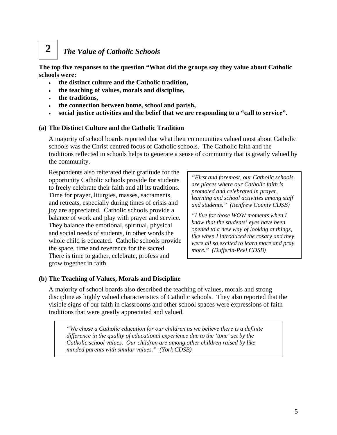# *The Value of Catholic Schools*

**The top five responses to the question "What did the groups say they value about Catholic schools were:**

- **the distinct culture and the Catholic tradition,**
- **the teaching of values, morals and discipline,**
- **the traditions,**

**2** 

- **the connection between home, school and parish,**
- **social justice activities and the belief that we are responding to a "call to service".**

#### **(a) The Distinct Culture and the Catholic Tradition**

A majority of school boards reported that what their communities valued most about Catholic schools was the Christ centred focus of Catholic schools. The Catholic faith and the traditions reflected in schools helps to generate a sense of community that is greatly valued by the community.

Respondents also reiterated their gratitude for the opportunity Catholic schools provide for students to freely celebrate their faith and all its traditions. Time for prayer, liturgies, masses, sacraments, and retreats, especially during times of crisis and joy are appreciated. Catholic schools provide a balance of work and play with prayer and service. They balance the emotional, spiritual, physical and social needs of students, in other words the whole child is educated. Catholic schools provide the space, time and reverence for the sacred. There is time to gather, celebrate, profess and grow together in faith.

*"First and foremost, our Catholic schools are places where our Catholic faith is promoted and celebrated in prayer, learning and school activities among staff and students." (Renfrew County CDSB)* 

*"I live for those WOW moments when I know that the students' eyes have been opened to a new way of looking at things, like when I introduced the rosary and they were all so excited to learn more and pray more." (Dufferin-Peel CDSB)* 

### **(b) The Teaching of Values, Morals and Discipline**

A majority of school boards also described the teaching of values, morals and strong discipline as highly valued characteristics of Catholic schools. They also reported that the visible signs of our faith in classrooms and other school spaces were expressions of faith traditions that were greatly appreciated and valued.

*"We chose a Catholic education for our children as we believe there is a definite difference in the quality of educational experience due to the 'tone' set by the Catholic school values. Our children are among other children raised by like minded parents with similar values." (York CDSB)*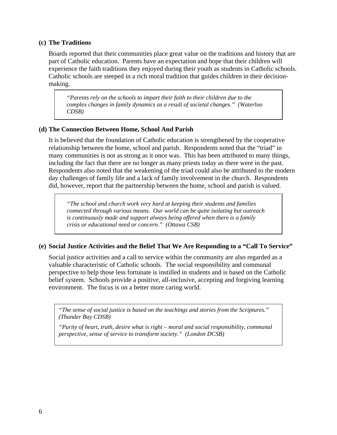### **(c) The Traditions**

Boards reported that their communities place great value on the traditions and history that are part of Catholic education. Parents have an expectation and hope that their children will experience the faith traditions they enjoyed during their youth as students in Catholic schools. Catholic schools are steeped in a rich moral tradition that guides children in their decisionmaking.

*"Parents rely on the schools to impart their faith to their children due to the complex changes in family dynamics as a result of societal changes." (Waterloo CDSB)*

### **(d) The Connection Between Home, School And Parish**

It is believed that the foundation of Catholic education is strengthened by the cooperative relationship between the home, school and parish. Respondents noted that the "triad" in many communities is not as strong as it once was. This has been attributed to many things, including the fact that there are no longer as many priests today as there were in the past. Respondents also noted that the weakening of the triad could also be attributed to the modern day challenges of family life and a lack of family involvement in the church. Respondents did, however, report that the partnership between the home, school and parish is valued.

*"The school and church work very hard at keeping their students and families connected through various means. Our world can be quite isolating but outreach is continuously made and support always being offered when there is a family crisis or educational need or concern." (Ottawa CSB)* 

### **(e) Social Justice Activities and the Belief That We Are Responding to a "Call To Service"**

Social justice activities and a call to service within the community are also regarded as a valuable characteristic of Catholic schools. The social responsibility and communal perspective to help those less fortunate is instilled in students and is based on the Catholic belief system. Schools provide a positive, all-inclusive, accepting and forgiving learning environment. The focus is on a better more caring world.

*"The sense of social justice is based on the teachings and stories from the Scriptures." (Thunder Bay CDSB)* 

*"Purity of heart, truth, desire what is right – moral and social responsibility, communal perspective, sense of service to transform society." (London DCSB)*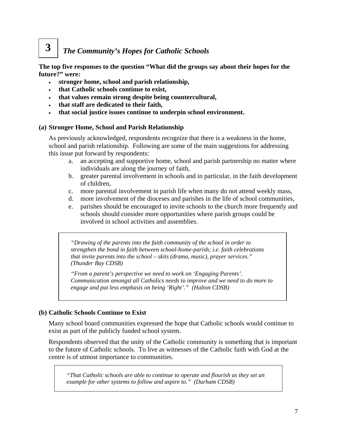### *The Community's Hopes for Catholic Schools*  **3**

**The top five responses to the question "What did the groups say about their hopes for the future?" were:** 

- **stronger home, school and parish relationship,**
- **that Catholic schools continue to exist,**
- **that values remain strong despite being countercultural,**
- **that staff are dedicated to their faith,**
- **that social justice issues continue to underpin school environment.**

### **(a) Stronger Home, School and Parish Relationship**

As previously acknowledged, respondents recognize that there is a weakness in the home, school and parish relationship. Following are some of the main suggestions for addressing this issue put forward by respondents:

- a. an accepting and supportive home, school and parish partnership no matter where individuals are along the journey of faith,
- b. greater parental involvement in schools and in particular, in the faith development of children,
- c. more parental involvement in parish life when many do not attend weekly mass,
- d. more involvement of the dioceses and parishes in the life of school communities,
- e. parishes should be encouraged to invite schools to the church more frequently and schools should consider more opportunities where parish groups could be involved in school activities and assemblies.

*"Drawing of the parents into the faith community of the school in order to strengthen the bond in faith between school-home-parish; i.e. faith celebrations that invite parents into the school – skits (drama, music), prayer services." (Thunder Bay CDSB)* 

*"From a parent's perspective we need to work on 'Engaging Parents'. Communication amongst all Catholics needs to improve and we need to do more to engage and put less emphasis on being 'Right'." (Halton CDSB)* 

### **(b) Catholic Schools Continue to Exist**

Many school board communities expressed the hope that Catholic schools would continue to exist as part of the publicly funded school system.

Respondents observed that the unity of the Catholic community is something that is important to the future of Catholic schools. To live as witnesses of the Catholic faith with God at the centre is of utmost importance to communities.

*"That Catholic schools are able to continue to operate and flourish as they set an example for other systems to follow and aspire to." (Durham CDSB)*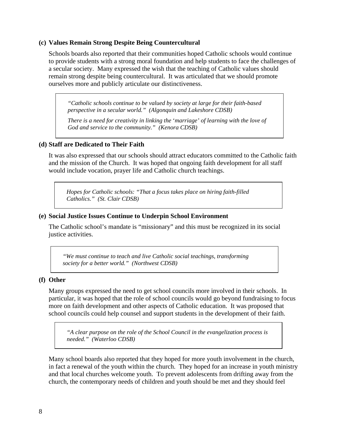#### **(c) Values Remain Strong Despite Being Countercultural**

Schools boards also reported that their communities hoped Catholic schools would continue to provide students with a strong moral foundation and help students to face the challenges of a secular society. Many expressed the wish that the teaching of Catholic values should remain strong despite being countercultural. It was articulated that we should promote ourselves more and publicly articulate our distinctiveness.

*"Catholic schools continue to be valued by society at large for their faith-based perspective in a secular world." (Algonquin and Lakeshore CDSB)* 

*There is a need for creativity in linking the* '*marriage' of learning with the love of God and service to the community." (Kenora CDSB)*

#### **(d) Staff are Dedicated to Their Faith**

It was also expressed that our schools should attract educators committed to the Catholic faith and the mission of the Church. It was hoped that ongoing faith development for all staff would include vocation, prayer life and Catholic church teachings.

*Hopes for Catholic schools: "That a focus takes place on hiring faith-filled Catholics." (St. Clair CDSB)* 

### **(e) Social Justice Issues Continue to Underpin School Environment**

The Catholic school's mandate is "missionary" and this must be recognized in its social justice activities.

*"We must continue to teach and live Catholic social teachings, transforming society for a better world." (Northwest CDSB)* 

#### **(f) Other**

Many groups expressed the need to get school councils more involved in their schools. In particular, it was hoped that the role of school councils would go beyond fundraising to focus more on faith development and other aspects of Catholic education. It was proposed that school councils could help counsel and support students in the development of their faith.

*"A clear purpose on the role of the School Council in the evangelization process is needed." (Waterloo CDSB)* 

Many school boards also reported that they hoped for more youth involvement in the church, in fact a renewal of the youth within the church. They hoped for an increase in youth ministry and that local churches welcome youth. To prevent adolescents from drifting away from the church, the contemporary needs of children and youth should be met and they should feel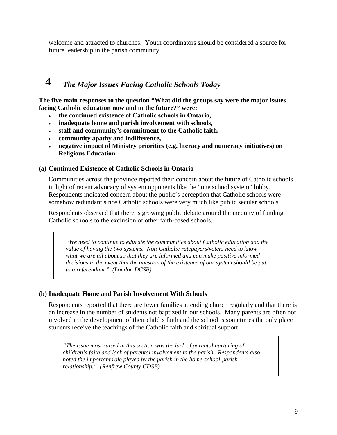welcome and attracted to churches. Youth coordinators should be considered a source for future leadership in the parish community.

### *The Major Issues Facing Catholic Schools Today*  **4**

**The five main responses to the question "What did the groups say were the major issues facing Catholic education now and in the future?" were:** 

- **the continued existence of Catholic schools in Ontario,**
- **inadequate home and parish involvement with schools,**
- **staff and community's commitment to the Catholic faith,**
- **community apathy and indifference,**
- **negative impact of Ministry priorities (e.g. literacy and numeracy initiatives) on Religious Education.**

### **(a) Continued Existence of Catholic Schools in Ontario**

Communities across the province reported their concern about the future of Catholic schools in light of recent advocacy of system opponents like the "one school system" lobby. Respondents indicated concern about the public's perception that Catholic schools were somehow redundant since Catholic schools were very much like public secular schools.

Respondents observed that there is growing public debate around the inequity of funding Catholic schools to the exclusion of other faith-based schools.

*"We need to continue to educate the communities about Catholic education and the value of having the two systems. Non-Catholic ratepayers/voters need to know what we are all about so that they are informed and can make positive informed decisions in the event that the question of the existence of our system should be put to a referendum." (London DCSB)* 

### **(b) Inadequate Home and Parish Involvement With Schools**

Respondents reported that there are fewer families attending church regularly and that there is an increase in the number of students not baptized in our schools. Many parents are often not involved in the development of their child's faith and the school is sometimes the only place students receive the teachings of the Catholic faith and spiritual support.

*"The issue most raised in this section was the lack of parental nurturing of children's faith and lack of parental involvement in the parish. Respondents also noted the important role played by the parish in the home-school-parish relationship." (Renfrew County CDSB)*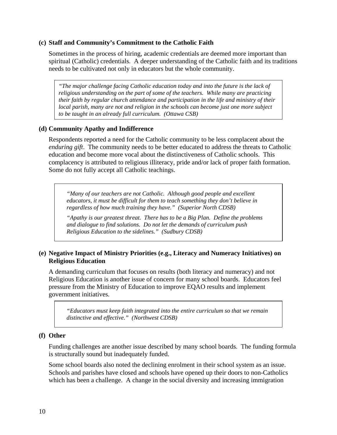### **(c) Staff and Community's Commitment to the Catholic Faith**

Sometimes in the process of hiring, academic credentials are deemed more important than spiritual (Catholic) credentials. A deeper understanding of the Catholic faith and its traditions needs to be cultivated not only in educators but the whole community.

*"The major challenge facing Catholic education today and into the future is the lack of religious understanding on the part of some of the teachers. While many are practicing their faith by regular church attendance and participation in the life and ministry of their local parish, many are not and religion in the schools can become just one more subject to be taught in an already full curriculum. (Ottawa CSB)* 

### **(d) Community Apathy and Indifference**

Respondents reported a need for the Catholic community to be less complacent about the *enduring gift*. The community needs to be better educated to address the threats to Catholic education and become more vocal about the distinctiveness of Catholic schools. This complacency is attributed to religious illiteracy, pride and/or lack of proper faith formation. Some do not fully accept all Catholic teachings.

*"Many of our teachers are not Catholic. Although good people and excellent educators, it must be difficult for them to teach something they don't believe in regardless of how much training they have." (Superior North CDSB)* 

*"Apathy is our greatest threat. There has to be a Big Plan. Define the problems and dialogue to find solutions. Do not let the demands of curriculum push Religious Education to the sidelines." (Sudbury CDSB)* 

### **(e) Negative Impact of Ministry Priorities (e.g., Literacy and Numeracy Initiatives) on Religious Education**

A demanding curriculum that focuses on results (both literacy and numeracy) and not Religious Education is another issue of concern for many school boards. Educators feel pressure from the Ministry of Education to improve EQAO results and implement government initiatives.

*"Educators must keep faith integrated into the entire curriculum so that we remain distinctive and effective." (Northwest CDSB)* 

### **(f) Other**

Funding challenges are another issue described by many school boards. The funding formula is structurally sound but inadequately funded.

Some school boards also noted the declining enrolment in their school system as an issue. Schools and parishes have closed and schools have opened up their doors to non-Catholics which has been a challenge. A change in the social diversity and increasing immigration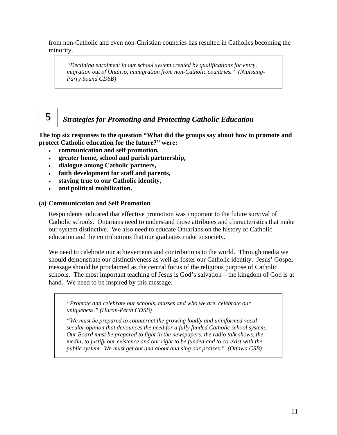from non-Catholic and even non-Christian countries has resulted in Catholics becoming the minority.

*"Declining enrolment in our school system created by qualifications for entry, migration out of Ontario, immigration from non-Catholic countries." (Nipissing-Parry Sound CDSB)* 

## *Strategies for Promoting and Protecting Catholic Education*

**The top six responses to the question "What did the groups say about how to promote and protect Catholic education for the future?" were:** 

- **communication and self promotion,**
- **greater home, school and parish partnership,**
- **dialogue among Catholic partners,**
- **faith development for staff and parents,**
- **staying true to our Catholic identity,**
- **and political mobilization.**

**5** 

### **(a) Communication and Self Promotion**

Respondents indicated that effective promotion was important to the future survival of Catholic schools. Ontarians need to understand those attributes and characteristics that make our system distinctive. We also need to educate Ontarians on the history of Catholic education and the contributions that our graduates make to society.

We need to celebrate our achievements and contributions to the world. Through media we should demonstrate our distinctiveness as well as foster our Catholic identity. Jesus' Gospel message should be proclaimed as the central focus of the religious purpose of Catholic schools. The most important teaching of Jesus is God's salvation – the kingdom of God is at hand. We need to be inspired by this message.

*"Promote and celebrate our schools, masses and who we are, celebrate our uniqueness." (Huron-Perth CDSB)* 

*"We must be prepared to counteract the growing loudly and uninformed vocal secular opinion that denounces the need for a fully funded Catholic school system. Our Board must be prepared to fight in the newspapers, the radio talk shows, the media, to justify our existence and our right to be funded and to co-exist with the public system. We must get out and about and sing our praises." (Ottawa CSB)*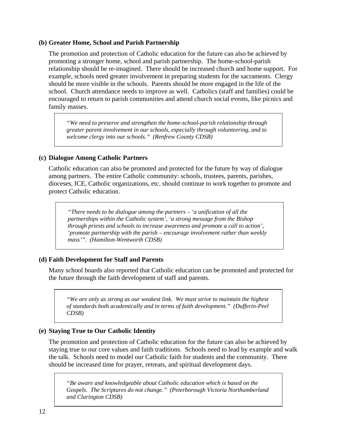### **(b) Greater Home, School and Parish Partnership**

The promotion and protection of Catholic education for the future can also be achieved by promoting a stronger home, school and parish partnership. The home-school-parish relationship should be re-imagined. There should be increased church and home support. For example, schools need greater involvement in preparing students for the sacraments. Clergy should be more visible in the schools. Parents should be more engaged in the life of the school. Church attendance needs to improve as well. Catholics (staff and families) could be encouraged to return to parish communities and attend church social events, like picnics and family masses.

*"We need to preserve and strengthen the home-school-parish relationship through greater parent involvement in our schools, especially through volunteering, and to welcome clergy into our schools." (Renfrew County CDSB)* 

### **(c) Dialogue Among Catholic Partners**

Catholic education can also be promoted and protected for the future by way of dialogue among partners. The entire Catholic community: schools, trustees, parents, parishes, dioceses, ICE, Catholic organizations, etc. should continue to work together to promote and protect Catholic education.

*"There needs to be dialogue among the partners – 'a unification of all the partnerships within the Catholic system', 'a strong message from the Bishop through priests and schools to increase awareness and promote a call to action', 'promote partnership with the parish – encourage involvement rather than weekly mass'". (Hamilton-Wentworth CDSB)* 

### **(d) Faith Development for Staff and Parents**

Many school boards also reported that Catholic education can be promoted and protected for the future through the faith development of staff and parents.

*"We are only as strong as our weakest link. We must strive to maintain the highest of standards both academically and in terms of faith development." (Dufferin-Peel CDSB)* 

### **(e) Staying True to Our Catholic Identity**

The promotion and protection of Catholic education for the future can also be achieved by staying true to our core values and faith traditions. Schools need to lead by example and walk the talk. Schools need to model our Catholic faith for students and the community. There should be increased time for prayer, retreats, and spiritual development days.

*"Be aware and knowledgeable about Catholic education which is based on the Gospels. The Scriptures do not change." (Peterborough Victoria Northumberland and Clarington CDSB)*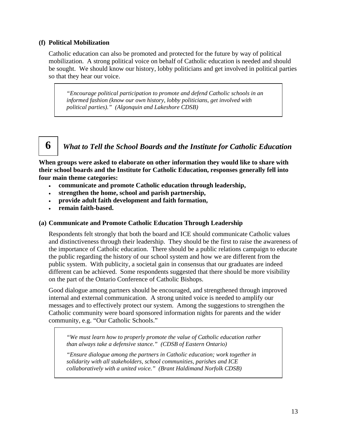### **(f) Political Mobilization**

Catholic education can also be promoted and protected for the future by way of political mobilization. A strong political voice on behalf of Catholic education is needed and should be sought. We should know our history, lobby politicians and get involved in political parties so that they hear our voice.

*"Encourage political participation to promote and defend Catholic schools in an informed fashion (know our own history, lobby politicians, get involved with political parties)." (Algonquin and Lakeshore CDSB)* 

# **6**

### *What to Tell the School Boards and the Institute for Catholic Education*

**When groups were asked to elaborate on other information they would like to share with their school boards and the Institute for Catholic Education, responses generally fell into four main theme categories:** 

- **communicate and promote Catholic education through leadership,**
- **strengthen the home, school and parish partnership,**
- **provide adult faith development and faith formation,**
- **remain faith-based.**

### **(a) Communicate and Promote Catholic Education Through Leadership**

Respondents felt strongly that both the board and ICE should communicate Catholic values and distinctiveness through their leadership. They should be the first to raise the awareness of the importance of Catholic education. There should be a public relations campaign to educate the public regarding the history of our school system and how we are different from the public system. With publicity, a societal gain in consensus that our graduates are indeed different can be achieved. Some respondents suggested that there should be more visibility on the part of the Ontario Conference of Catholic Bishops.

Good dialogue among partners should be encouraged, and strengthened through improved internal and external communication. A strong united voice is needed to amplify our messages and to effectively protect our system. Among the suggestions to strengthen the Catholic community were board sponsored information nights for parents and the wider community, e.g. "Our Catholic Schools."

*"We must learn how to properly promote the value of Catholic education rather than always take a defensive stance." (CDSB of Eastern Ontario)* 

*"Ensure dialogue among the partners in Catholic education; work together in solidarity with all stakeholders, school communities, parishes and ICE collaboratively with a united voice." (Brant Haldimand Norfolk CDSB)*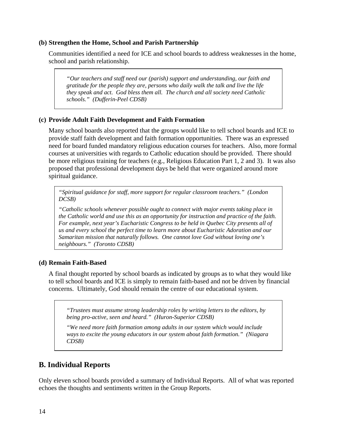### **(b) Strengthen the Home, School and Parish Partnership**

Communities identified a need for ICE and school boards to address weaknesses in the home, school and parish relationship.

*"Our teachers and staff need our (parish) support and understanding, our faith and gratitude for the people they are, persons who daily walk the talk and live the life they speak and act. God bless them all. The church and all society need Catholic schools." (Dufferin-Peel CDSB)* 

### **(c) Provide Adult Faith Development and Faith Formation**

Many school boards also reported that the groups would like to tell school boards and ICE to provide staff faith development and faith formation opportunities. There was an expressed need for board funded mandatory religious education courses for teachers. Also, more formal courses at universities with regards to Catholic education should be provided. There should be more religious training for teachers (e.g., Religious Education Part 1, 2 and 3). It was also proposed that professional development days be held that were organized around more spiritual guidance.

*"Spiritual guidance for staff, more support for regular classroom teachers." (London DCSB)* 

*"Catholic schools whenever possible ought to connect with major events taking place in the Catholic world and use this as an opportunity for instruction and practice of the faith. For example, next year's Eucharistic Congress to be held in Quebec City presents all of us and every school the perfect time to learn more about Eucharistic Adoration and our Samaritan mission that naturally follows. One cannot love God without loving one's neighbours." (Toronto CDSB)* 

### **(d) Remain Faith-Based**

A final thought reported by school boards as indicated by groups as to what they would like to tell school boards and ICE is simply to remain faith-based and not be driven by financial concerns. Ultimately, God should remain the centre of our educational system.

*"Trustees must assume strong leadership roles by writing letters to the editors, by being pro-active, seen and heard." (Huron-Superior CDSB)* 

*"We need more faith formation among adults in our system which would include ways to excite the young educators in our system about faith formation." (Niagara CDSB)* 

### **B. Individual Reports**

Only eleven school boards provided a summary of Individual Reports. All of what was reported echoes the thoughts and sentiments written in the Group Reports.